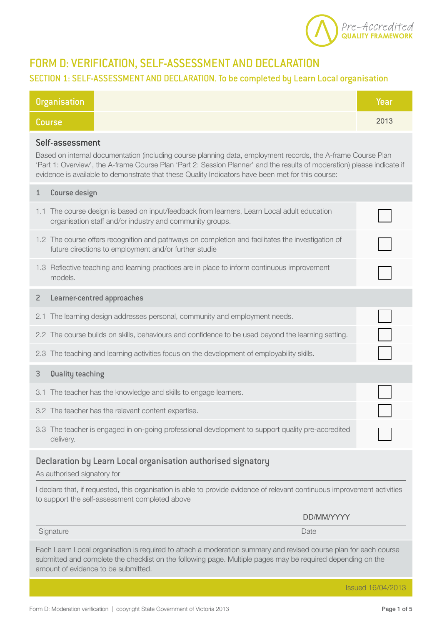

# FORM D: VERIFICATION, SELF-ASSESSMENT AND DECLARATION

### SECTION 1: SELF-ASSESSMENT AND DECLARATION. To be completed by Learn Local organisation

| <b>Organisation</b>                                                                                                                                                                                                                                                                                                                                             |                                                                                                                                                            | Year |  |  |
|-----------------------------------------------------------------------------------------------------------------------------------------------------------------------------------------------------------------------------------------------------------------------------------------------------------------------------------------------------------------|------------------------------------------------------------------------------------------------------------------------------------------------------------|------|--|--|
| <b>Course</b>                                                                                                                                                                                                                                                                                                                                                   |                                                                                                                                                            | 2013 |  |  |
| Self-assessment<br>Based on internal documentation (including course planning data, employment records, the A-frame Course Plan<br>'Part 1: Overview', the A-frame Course Plan 'Part 2: Session Planner' and the results of moderation) please indicate if<br>evidence is available to demonstrate that these Quality Indicators have been met for this course: |                                                                                                                                                            |      |  |  |
| Course design<br>1                                                                                                                                                                                                                                                                                                                                              |                                                                                                                                                            |      |  |  |
| 1.1                                                                                                                                                                                                                                                                                                                                                             | The course design is based on input/feedback from learners, Learn Local adult education<br>organisation staff and/or industry and community groups.        |      |  |  |
|                                                                                                                                                                                                                                                                                                                                                                 | 1.2 The course offers recognition and pathways on completion and facilitates the investigation of<br>future directions to employment and/or further studie |      |  |  |
| models.                                                                                                                                                                                                                                                                                                                                                         | 1.3 Reflective teaching and learning practices are in place to inform continuous improvement                                                               |      |  |  |
| $\overline{2}$                                                                                                                                                                                                                                                                                                                                                  | Learner-centred approaches                                                                                                                                 |      |  |  |
| 2.1                                                                                                                                                                                                                                                                                                                                                             | The learning design addresses personal, community and employment needs.                                                                                    |      |  |  |
|                                                                                                                                                                                                                                                                                                                                                                 | 2.2 The course builds on skills, behaviours and confidence to be used beyond the learning setting.                                                         |      |  |  |
| 2.3                                                                                                                                                                                                                                                                                                                                                             | The teaching and learning activities focus on the development of employability skills.                                                                     |      |  |  |
| Quality teaching<br>3                                                                                                                                                                                                                                                                                                                                           |                                                                                                                                                            |      |  |  |
| 3.1                                                                                                                                                                                                                                                                                                                                                             | The teacher has the knowledge and skills to engage learners.                                                                                               |      |  |  |
|                                                                                                                                                                                                                                                                                                                                                                 | 3.2 The teacher has the relevant content expertise.                                                                                                        |      |  |  |
| delivery.                                                                                                                                                                                                                                                                                                                                                       | 3.3 The teacher is engaged in on-going professional development to support quality pre-accredited                                                          |      |  |  |
| Declaration by Learn Local organisation authorised signatory<br>As authorised signatory for                                                                                                                                                                                                                                                                     |                                                                                                                                                            |      |  |  |
| I declare that, if requested, this organisation is able to provide evidence of relevant continuous improvement activities<br>to support the self-assessment completed above                                                                                                                                                                                     |                                                                                                                                                            |      |  |  |
|                                                                                                                                                                                                                                                                                                                                                                 | DD/MM/YYYY                                                                                                                                                 |      |  |  |
| Signature                                                                                                                                                                                                                                                                                                                                                       | Date                                                                                                                                                       |      |  |  |
| Each Learn Local organisation is required to attach a moderation summary and revised course plan for each course<br>submitted and complete the checklist on the following page. Multiple pages may be required depending on the<br>amount of evidence to be submitted.                                                                                          |                                                                                                                                                            |      |  |  |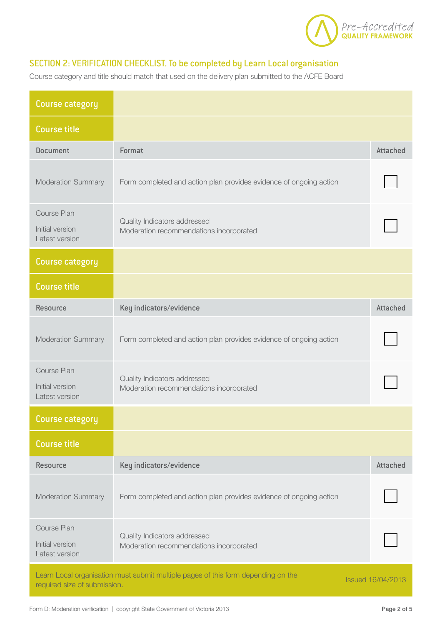

#### SECTION 2: VERIFICATION CHECKLIST. To be completed by Learn Local organisation

Course category and title should match that used on the delivery plan submitted to the ACFE Board

| <b>Course category</b>                           |                                                                                   |                          |
|--------------------------------------------------|-----------------------------------------------------------------------------------|--------------------------|
| <b>Course title</b>                              |                                                                                   |                          |
| <b>Document</b>                                  | Format                                                                            | <b>Attached</b>          |
| <b>Moderation Summary</b>                        | Form completed and action plan provides evidence of ongoing action                |                          |
| Course Plan<br>Initial version<br>Latest version | Quality Indicators addressed<br>Moderation recommendations incorporated           |                          |
| <b>Course category</b>                           |                                                                                   |                          |
| <b>Course title</b>                              |                                                                                   |                          |
| <b>Resource</b>                                  | Key indicators/evidence                                                           | <b>Attached</b>          |
| <b>Moderation Summary</b>                        | Form completed and action plan provides evidence of ongoing action                |                          |
| Course Plan<br>Initial version<br>Latest version | Quality Indicators addressed<br>Moderation recommendations incorporated           |                          |
| Course category                                  |                                                                                   |                          |
| <b>Course title</b>                              |                                                                                   |                          |
| Resource                                         | Key indicators/evidence                                                           | <b>Attached</b>          |
| <b>Moderation Summary</b>                        | Form completed and action plan provides evidence of ongoing action                |                          |
| Course Plan<br>Initial version<br>Latest version | Quality Indicators addressed<br>Moderation recommendations incorporated           |                          |
| required size of submission.                     | Learn Local organisation must submit multiple pages of this form depending on the | <b>Issued 16/04/2013</b> |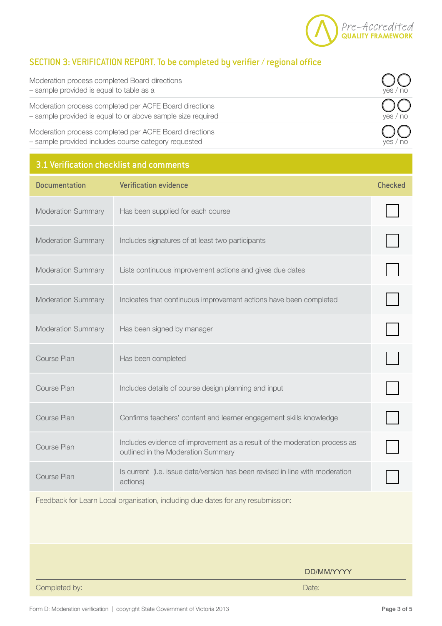

#### SECTION 3: VERIFICATION REPORT. To be completed by verifier / regional office

| Moderation process completed Board directions<br>- sample provided is equal to table as a                             | ves/<br>no |
|-----------------------------------------------------------------------------------------------------------------------|------------|
| Moderation process completed per ACFE Board directions<br>- sample provided is equal to or above sample size required | yes / no   |
| Moderation process completed per ACFE Board directions<br>- sample provided includes course category requested        |            |

#### 3.1 Verification checklist and comments

| <b>Documentation</b>      | <b>Verification evidence</b>                                                                                    | <b>Checked</b> |
|---------------------------|-----------------------------------------------------------------------------------------------------------------|----------------|
| <b>Moderation Summary</b> | Has been supplied for each course                                                                               |                |
| <b>Moderation Summary</b> | Includes signatures of at least two participants                                                                |                |
| <b>Moderation Summary</b> | Lists continuous improvement actions and gives due dates                                                        |                |
| <b>Moderation Summary</b> | Indicates that continuous improvement actions have been completed                                               |                |
| <b>Moderation Summary</b> | Has been signed by manager                                                                                      |                |
| <b>Course Plan</b>        | Has been completed                                                                                              |                |
| Course Plan               | Includes details of course design planning and input                                                            |                |
| Course Plan               | Confirms teachers' content and learner engagement skills knowledge                                              |                |
| Course Plan               | Includes evidence of improvement as a result of the moderation process as<br>outlined in the Moderation Summary |                |
| Course Plan               | Is current (i.e. issue date/version has been revised in line with moderation<br>actions)                        |                |

Feedback for Learn Local organisation, including due dates for any resubmission:

DD/MM/YYYY

Completed by: Date: Date: Date: Date: Date: Date: Date: Date: Date: Date: Date: Date: Date: Date: Date: Date: Date: Date: Date: Date: Date: Date: Date: Date: Date: Date: Date: Date: Date: Date: Date: Date: Date: Date: Date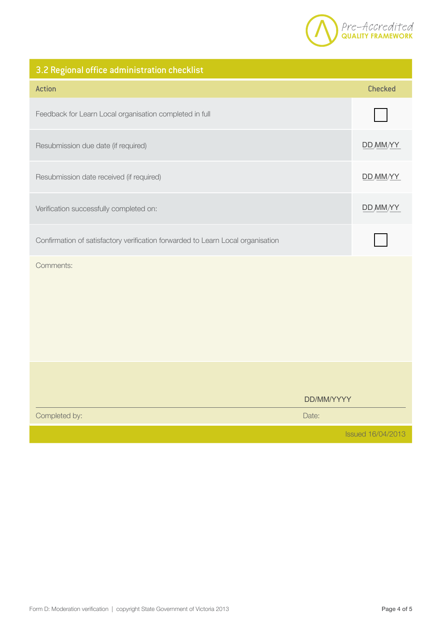

# 3.2 Regional office administration checklist

| <b>Action</b>                                                                   |            | <b>Checked</b>           |
|---------------------------------------------------------------------------------|------------|--------------------------|
| Feedback for Learn Local organisation completed in full                         |            |                          |
| Resubmission due date (if required)                                             |            | DD MM/YY                 |
| Resubmission date received (if required)                                        |            | DD MM/YY                 |
| Verification successfully completed on:                                         |            | DD MM/YY                 |
| Confirmation of satisfactory verification forwarded to Learn Local organisation |            |                          |
| Comments:                                                                       |            |                          |
|                                                                                 |            |                          |
|                                                                                 | DD/MM/YYYY |                          |
| Completed by:                                                                   | Date:      |                          |
|                                                                                 |            | <b>Issued 16/04/2013</b> |